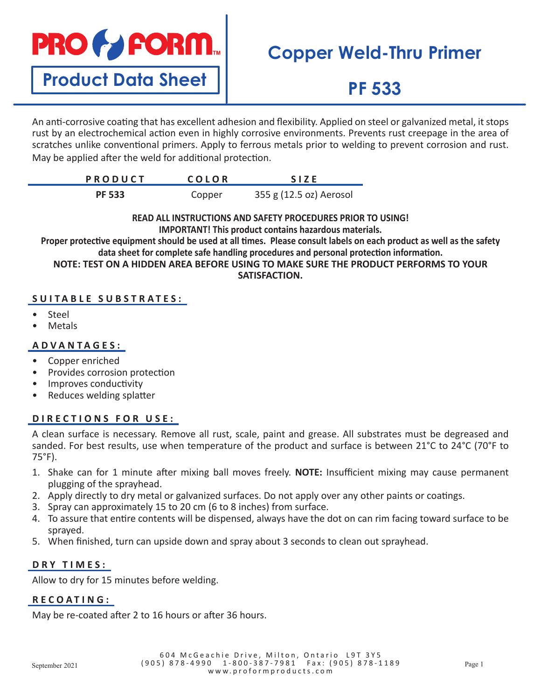

**Product Data Sheet**

# **Copper Weld-Thru Primer**

# **PF 533**

An anti-corrosive coating that has excellent adhesion and flexibility. Applied on steel or galvanized metal, it stops rust by an electrochemical action even in highly corrosive environments. Prevents rust creepage in the area of scratches unlike conventional primers. Apply to ferrous metals prior to welding to prevent corrosion and rust. May be applied after the weld for additional protection.

| <b>PRODUCT</b> | <b>COLOR</b> | <b>SIZE</b>             |
|----------------|--------------|-------------------------|
| <b>PF 533</b>  | Copper       | 355 g (12.5 oz) Aerosol |

**READ ALL INSTRUCTIONS AND SAFETY PROCEDURES PRIOR TO USING! IMPORTANT! This product contains hazardous materials.**

**Proper protective equipment should be used at all times. Please consult labels on each product as well as the safety data sheet for complete safe handling procedures and personal protection information.**

**NOTE: TEST ON A HIDDEN AREA BEFORE USING TO MAKE SURE THE PRODUCT PERFORMS TO YOUR SATISFACTION.** 

## **SUITABLE SUBSTRATES:**

- Steel
- Metals

### **ADVANTAGES:**

- Copper enriched
- Provides corrosion protection
- Improves conductivity
- Reduces welding splatter

### **DIRECTIONS FOR USE:**

A clean surface is necessary. Remove all rust, scale, paint and grease. All substrates must be degreased and sanded. For best results, use when temperature of the product and surface is between 21°C to 24°C (70°F to 75°F).

- 1. Shake can for 1 minute after mixing ball moves freely. **NOTE:** Insufficient mixing may cause permanent plugging of the sprayhead.
- 2. Apply directly to dry metal or galvanized surfaces. Do not apply over any other paints or coatings.
- 3. Spray can approximately 15 to 20 cm (6 to 8 inches) from surface.
- 4. To assure that entire contents will be dispensed, always have the dot on can rim facing toward surface to be sprayed.
- 5. When finished, turn can upside down and spray about 3 seconds to clean out sprayhead.

### **DRY TIMES:**

Allow to dry for 15 minutes before welding.

### **RECOATING:**

May be re-coated after 2 to 16 hours or after 36 hours.